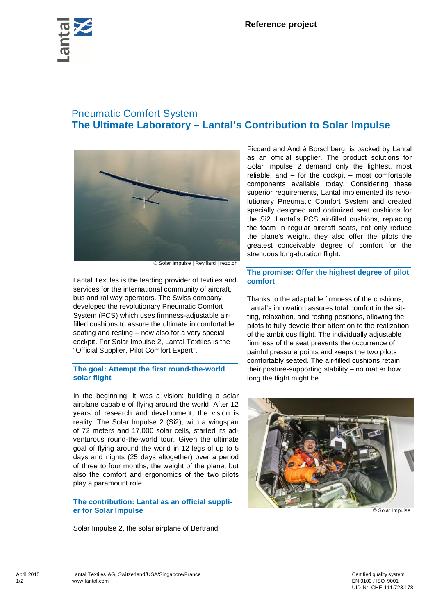

# Pneumatic Comfort System **The Ultimate Laboratory – Lantal's Contribution to Solar Impulse**



© Solar Impulse | Revillard | rezo.ch

Lantal Textiles is the leading provider of textiles and services for the international community of aircraft, bus and railway operators. The Swiss company developed the revolutionary Pneumatic Comfort System (PCS) which uses firmness-adjustable airfilled cushions to assure the ultimate in comfortable seating and resting – now also for a very special cockpit. For Solar Impulse 2, Lantal Textiles is the "Official Supplier, Pilot Comfort Expert".

# **The goal: Attempt the first round-the-world solar flight**

In the beginning, it was a vision: building a solar airplane capable of flying around the world. After 12 years of research and development, the vision is reality. The Solar Impulse 2 (Si2), with a wingspan of 72 meters and 17,000 solar cells, started its adventurous round-the-world tour. Given the ultimate goal of flying around the world in 12 legs of up to 5 days and nights (25 days altogether) over a period of three to four months, the weight of the plane, but also the comfort and ergonomics of the two pilots play a paramount role.

### **The contribution: Lantal as an official supplier for Solar Impulse**

Solar Impulse 2, the solar airplane of Bertrand

Piccard and André Borschberg, is backed by Lantal as an official supplier. The product solutions for Solar Impulse 2 demand only the lightest, most reliable, and  $-$  for the cockpit  $-$  most comfortable components available today. Considering these superior requirements, Lantal implemented its revolutionary Pneumatic Comfort System and created specially designed and optimized seat cushions for the Si2. Lantal's PCS air-filled cushions, replacing the foam in regular aircraft seats, not only reduce the plane's weight, they also offer the pilots the greatest conceivable degree of comfort for the strenuous long-duration flight.

# **The promise: Offer the highest degree of pilot comfort**

Thanks to the adaptable firmness of the cushions, Lantal's innovation assures total comfort in the sitting, relaxation, and resting positions, allowing the pilots to fully devote their attention to the realization of the ambitious flight. The individually adjustable firmness of the seat prevents the occurrence of painful pressure points and keeps the two pilots comfortably seated. The air-filled cushions retain their posture-supporting stability – no matter how long the flight might be.



© Solar Impulse